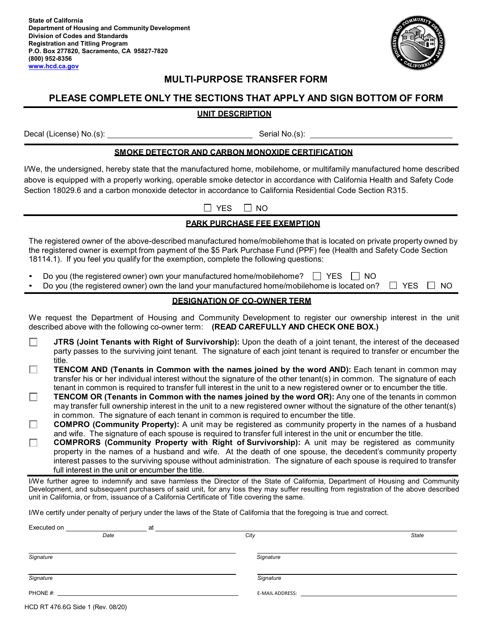**State of California Department of Housing and Community Development Division of Codes and Standards Registration and Titling Program P.O. Box 277820, Sacramento, CA 95827-7820 (800) 952-8356 [www.hcd.ca.gov](https://www.hcd.ca.gov/)**



# **MULTI-PURPOSE TRANSFER FORM**

# **PLEASE COMPLETE ONLY THE SECTIONS THAT APPLY AND SIGN BOTTOM OF FORM**

## **UNIT DESCRIPTION**

Decal (License) No.(s): Serial No.(s): Serial No.(s):

#### **SMOKE DETECTOR AND CARBON MONOXIDE CERTIFICATION**

I/We, the undersigned, hereby state that the manufactured home, mobilehome, or multifamily manufactured home described above is equipped with a properly working, operable smoke detector in accordance with California Health and Safety Code Section 18029.6 and a carbon monoxide detector in accordance to California Residential Code Section R315.

 $\Box$  YES  $\Box$  NO

## **PARK PURCHASE FEE EXEMPTION**

The registered owner of the above-described manufactured home/mobilehome that is located on private property owned by the registered owner is exempt from payment of the \$5 Park Purchase Fund (PPF) fee (Health and Safety Code Section 18114.1). If you feel you qualify for the exemption, complete the following questions:

- Do you (the registered owner) own your manufactured home/mobilehome?  $\Box$  YES  $\Box$  NO
- Do you (the registered owner) own the land your manufactured home/mobilehome is located on?  $\Box$  YES  $\Box$  NO

## **DESIGNATION OF CO-OWNER TERM**

We request the Department of Housing and Community Development to register our ownership interest in the unit described above with the following co-owner term: **(READ CAREFULLY AND CHECK ONE BOX.)**

- П **JTRS (Joint Tenants with Right of Survivorship):** Upon the death of a joint tenant, the interest of the deceased party passes to the surviving joint tenant. The signature of each joint tenant is required to transfer or encumber the title.
- **TENCOM AND (Tenants in Common with the names joined by the word AND):** Each tenant in common may □ transfer his or her individual interest without the signature of the other tenant(s) in common. The signature of each tenant in common is required to transfer full interest in the unit to a new registered owner or to encumber the title.
- **TENCOM OR (Tenants in Common with the names joined by the word OR):** Any one of the tenants in common П may transfer full ownership interest in the unit to a new registered owner without the signature of the other tenant(s) in common. The signature of each tenant in common is required to encumber the title.
- **COMPRO (Community Property):** A unit may be registered as community property in the names of a husband П and wife. The signature of each spouse is required to transfer full interest in the unit or encumber the title.
- **COMPRORS (Community Property with Right of Survivorship):** A unit may be registered as community п property in the names of a husband and wife. At the death of one spouse, the decedent's community property interest passes to the surviving spouse without administration. The signature of each spouse is required to transfer full interest in the unit or encumber the title.

I/We further agree to indemnify and save harmless the Director of the State of California, Department of Housing and Community Development, and subsequent purchasers of said unit, for any loss they may suffer resulting from registration of the above described unit in California, or from, issuance of a California Certificate of Title covering the same.

I/We certify under penalty of perjury under the laws of the State of California that the foregoing is true and correct.

| Executed on | at |                 |              |
|-------------|----|-----------------|--------------|
| Date        |    | City            | <b>State</b> |
|             |    |                 |              |
| Signature   |    | Signature       |              |
| Signature   |    | Signature       |              |
| PHONE #:    |    | E-MAIL ADDRESS: |              |

HCD RT 476.6G Side 1 (Rev. 08/20)